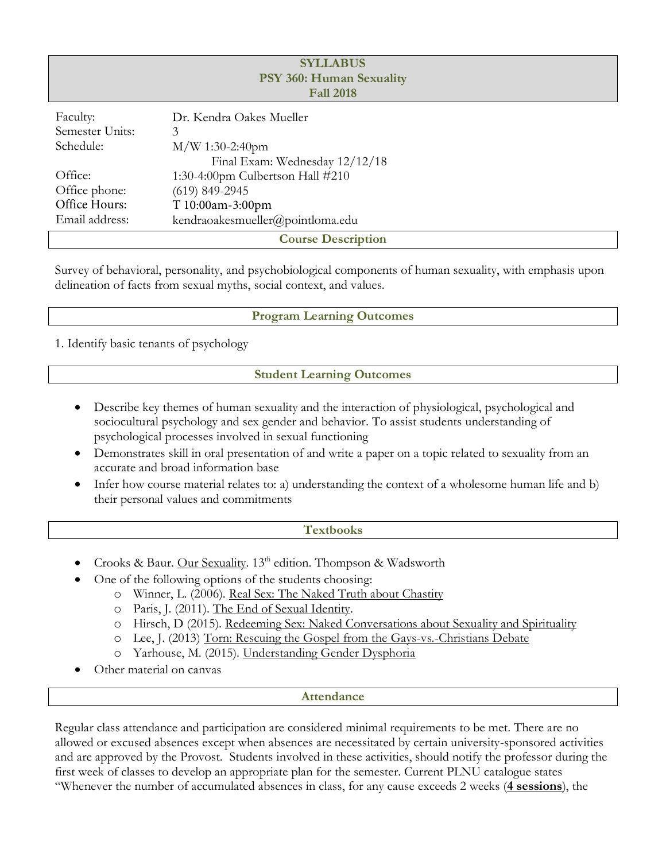| <b>SYLLABUS</b><br>PSY 360: Human Sexuality<br><b>Fall 2018</b> |                                  |  |  |  |  |  |  |
|-----------------------------------------------------------------|----------------------------------|--|--|--|--|--|--|
| Faculty:                                                        | Dr. Kendra Oakes Mueller         |  |  |  |  |  |  |
| Semester Units:                                                 | 3                                |  |  |  |  |  |  |
| Schedule:                                                       | $M/W$ 1:30-2:40pm                |  |  |  |  |  |  |
| Final Exam: Wednesday 12/12/18                                  |                                  |  |  |  |  |  |  |
| Office:                                                         | 1:30-4:00pm Culbertson Hall #210 |  |  |  |  |  |  |
| Office phone:                                                   | $(619)$ 849-2945                 |  |  |  |  |  |  |
| Office Hours:                                                   | T 10:00am-3:00pm                 |  |  |  |  |  |  |
| Email address:                                                  | kendraoakesmueller@pointloma.edu |  |  |  |  |  |  |
| <b>Course Description</b>                                       |                                  |  |  |  |  |  |  |

Survey of behavioral, personality, and psychobiological components of human sexuality, with emphasis upon delineation of facts from sexual myths, social context, and values.

## **Program Learning Outcomes**

1. Identify basic tenants of psychology

### **Student Learning Outcomes**

- Describe key themes of human sexuality and the interaction of physiological, psychological and sociocultural psychology and sex gender and behavior. To assist students understanding of psychological processes involved in sexual functioning
- Demonstrates skill in oral presentation of and write a paper on a topic related to sexuality from an accurate and broad information base
- Infer how course material relates to: a) understanding the context of a wholesome human life and b) their personal values and commitments

### **Textbooks**

- Crooks & Baur. Our Sexuality. 13<sup>th</sup> edition. Thompson & Wadsworth
- One of the following options of the students choosing:
	- o Winner, L. (2006). Real Sex: The Naked Truth about Chastity
	- o Paris, J. (2011). The End of Sexual Identity.
	- o Hirsch, D (2015). Redeeming Sex: Naked Conversations about Sexuality and Spirituality
	- o Lee, J. (2013) Torn: Rescuing the Gospel from the Gays-vs.-Christians Debate
	- o Yarhouse, M. (2015). Understanding Gender Dysphoria
- Other material on canvas

### **Attendance**

Regular class attendance and participation are considered minimal requirements to be met. There are no allowed or excused absences except when absences are necessitated by certain university-sponsored activities and are approved by the Provost. Students involved in these activities, should notify the professor during the first week of classes to develop an appropriate plan for the semester. Current PLNU catalogue states "Whenever the number of accumulated absences in class, for any cause exceeds 2 weeks (**4 sessions**), the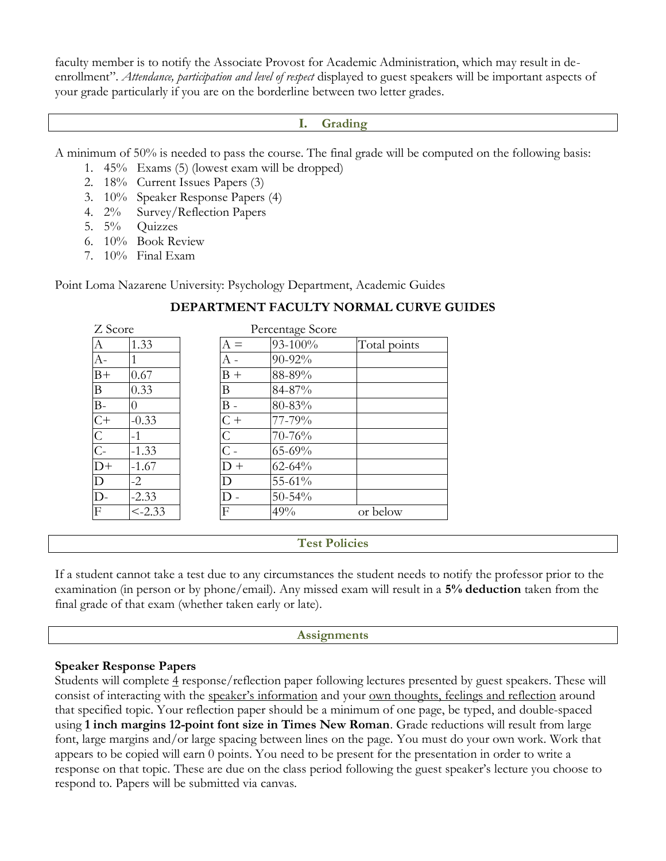faculty member is to notify the Associate Provost for Academic Administration, which may result in deenrollment". *Attendance, participation and level of respect* displayed to guest speakers will be important aspects of your grade particularly if you are on the borderline between two letter grades.

### **I. Grading**

A minimum of 50% is needed to pass the course. The final grade will be computed on the following basis:

- 1. 45% Exams (5) (lowest exam will be dropped)
- 2. 18% Current Issues Papers (3)
- 3. 10% Speaker Response Papers (4)
- 4. 2% Survey/Reflection Papers
- 5. 5% Quizzes
- 6. 10% Book Review
- 7. 10% Final Exam

Point Loma Nazarene University: Psychology Department, Academic Guides

| Z Score        |           | Percentage Score |             |              |
|----------------|-----------|------------------|-------------|--------------|
| А              | 1.33      | $A =$            | 93-100%     | Total points |
| $A -$          |           | А -              | 90-92%      |              |
| $B+$           | 0.67      | $B +$            | 88-89%      |              |
| B              | 0.33      | B                | 84-87%      |              |
| B-             |           | $B -$            | 80-83%      |              |
| $C+$           | $-0.33$   | $C +$            | 77-79%      |              |
| $\mathsf{C}$   | $-1$      | $\mathsf C$      | $70 - 76%$  |              |
| $\overline{C}$ | $-1.33$   | $\overline{C}$ - | 65-69%      |              |
| $D+$           | $-1.67$   | $D +$            | $62 - 64%$  |              |
| D              | $-2$      | D                | 55-61%      |              |
| $D -$          | $-2.33$   | D                | $50 - 54\%$ |              |
| F              | $< -2.33$ | F                | 49%         | or below     |

# **DEPARTMENT FACULTY NORMAL CURVE GUIDES**

## **Test Policies**

If a student cannot take a test due to any circumstances the student needs to notify the professor prior to the examination (in person or by phone/email). Any missed exam will result in a **5% deduction** taken from the final grade of that exam (whether taken early or late).

### **Assignments**

## **Speaker Response Papers**

Students will complete 4 response/reflection paper following lectures presented by guest speakers. These will consist of interacting with the speaker's information and your own thoughts, feelings and reflection around that specified topic. Your reflection paper should be a minimum of one page, be typed, and double-spaced using **1 inch margins 12-point font size in Times New Roman**. Grade reductions will result from large font, large margins and/or large spacing between lines on the page. You must do your own work. Work that appears to be copied will earn 0 points. You need to be present for the presentation in order to write a response on that topic. These are due on the class period following the guest speaker's lecture you choose to respond to. Papers will be submitted via canvas.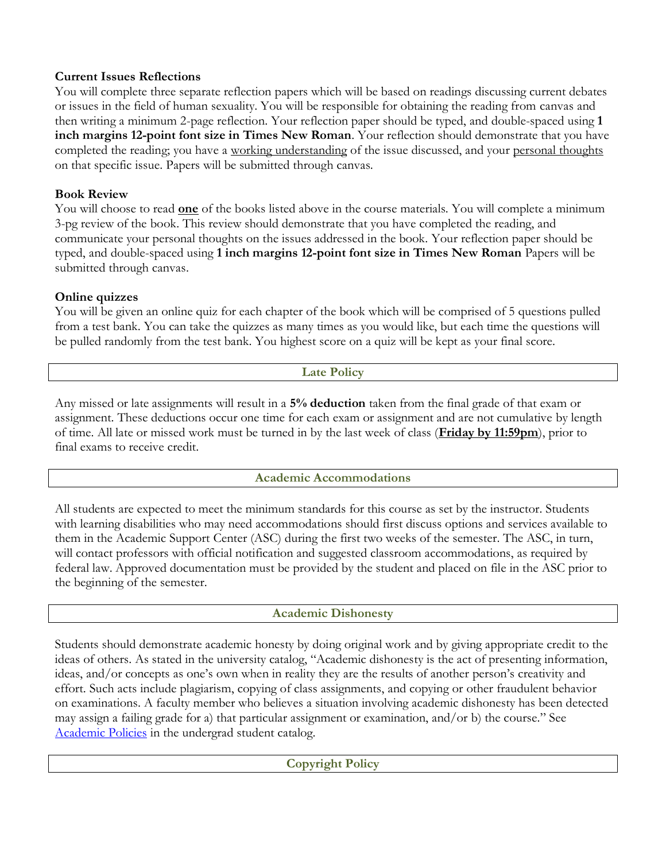### **Current Issues Reflections**

You will complete three separate reflection papers which will be based on readings discussing current debates or issues in the field of human sexuality. You will be responsible for obtaining the reading from canvas and then writing a minimum 2-page reflection. Your reflection paper should be typed, and double-spaced using **1 inch margins 12-point font size in Times New Roman**. Your reflection should demonstrate that you have completed the reading; you have a working understanding of the issue discussed, and your personal thoughts on that specific issue. Papers will be submitted through canvas.

## **Book Review**

You will choose to read **one** of the books listed above in the course materials. You will complete a minimum 3-pg review of the book. This review should demonstrate that you have completed the reading, and communicate your personal thoughts on the issues addressed in the book. Your reflection paper should be typed, and double-spaced using **1 inch margins 12-point font size in Times New Roman** Papers will be submitted through canvas.

## **Online quizzes**

You will be given an online quiz for each chapter of the book which will be comprised of 5 questions pulled from a test bank. You can take the quizzes as many times as you would like, but each time the questions will be pulled randomly from the test bank. You highest score on a quiz will be kept as your final score.

## **Late Policy**

Any missed or late assignments will result in a **5% deduction** taken from the final grade of that exam or assignment. These deductions occur one time for each exam or assignment and are not cumulative by length of time. All late or missed work must be turned in by the last week of class (**Friday by 11:59pm**), prior to final exams to receive credit.

# **Academic Accommodations**

All students are expected to meet the minimum standards for this course as set by the instructor. Students with learning disabilities who may need accommodations should first discuss options and services available to them in the Academic Support Center (ASC) during the first two weeks of the semester. The ASC, in turn, will contact professors with official notification and suggested classroom accommodations, as required by federal law. Approved documentation must be provided by the student and placed on file in the ASC prior to the beginning of the semester.

## **Academic Dishonesty**

Students should demonstrate academic honesty by doing original work and by giving appropriate credit to the ideas of others. As stated in the university catalog, "Academic dishonesty is the act of presenting information, ideas, and/or concepts as one's own when in reality they are the results of another person's creativity and effort. Such acts include plagiarism, copying of class assignments, and copying or other fraudulent behavior on examinations. A faculty member who believes a situation involving academic dishonesty has been detected may assign a failing grade for a) that particular assignment or examination, and/or b) the course." See [Academic Policies](http://www.pointloma.edu/experience/academics/catalogs/undergraduate-catalog/point-loma-education/academic-policies) in the undergrad student catalog.

# **Copyright Policy**